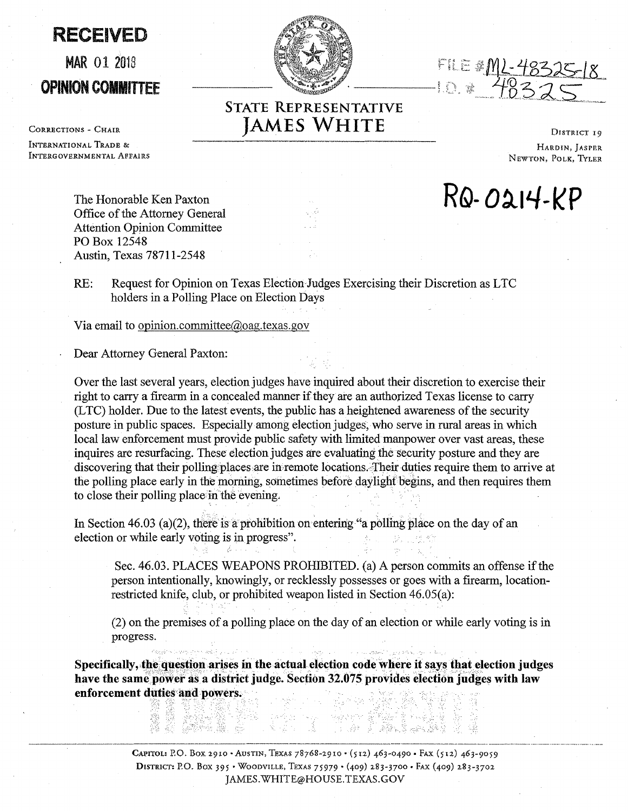RECEIVED

## MAR 01 <sup>2018</sup> OPINION COMMITTEE

CORRECTIONS - CHAIR INTERNATIONAL TRADE & INTERGOVERNMENTAL AFFAIRS

FILE #<u>ML-48</u>2<br>-10 \* 4833

## **STATE REPRESENTATIVE JAMES WHITE** DISTRICT 19

HARDIN, JASPRR NEWTON, POLK, TYLER

**RQ- O~IL/-l<P** 

The Honorable Ken Paxton Office of the Attorney General Attention Opinion Committee PO Box 12548 Austin, Texas 78711-2548

RE: Request for Opinion on Texas Election Judges Exercising their Discretion as LTC holders in a Polling Place on Election Days

Via email to opinion.committee@oag.texas.gov

Dear Attorney General Paxton:

Over the last several years, election judges have inquired about their discretion to exercise their right to carry a firearm in a concealed manner if they are an authorized Texas license to carry (LTC) holder. Due to the latest events, the public has a heightened awareness of the security posture in public spaces. Especially among election judges, who serve in rural areas in which local law enforcement must provide public safety with limited manpower over vast areas, these inquires are resurfacing. These election judges are evaluating the security posture and they are discovering that their polling places are in remote locations. Their duties require them to arrive at the polling place early in the morning, sometimes before daylight begins, and then requires them to close their polling place in the evening.

In Section 46.03 (a)(2), there is a prohibition on entering "a polling place on the day of an election or while early voting is in progress".

Sec. 46.03. PLACES WEAPONS PROHIBITED. (a) A person commits an offense if the person intentionally, knowingly, or recklessly possesses or goes with a firearm, locationrestricted knife, club, or prohibited weapon listed in Section 46.05(a):

(2) on the premises of a polling place on the day of an election or while early voting is in progress.

**Specifically, the question arises in the actual election code where it says that election judges** have the same power as a district judge. Section 32.075 provides election judges with law enforcement duties and powers.

> المستخدم المستخدم المستخدم المستخدم المستخدم المستخدم المستخدم المستخدم المستخدم المستخدم المستخدم المستخدم ال<br>المستخدم المستخدم المستخدم المستخدم المستخدم المستخدم المستخدم المستخدم المستخدم المستخدم المستخدم المستخدم ال DISTRICT: P.O. Box 395 · WOODVILLE, TEXAS 75979 · (409) 283-3700 · FAX (409) 283-3702 JAMES.WHITE@HOUSE.TEXAS.GOV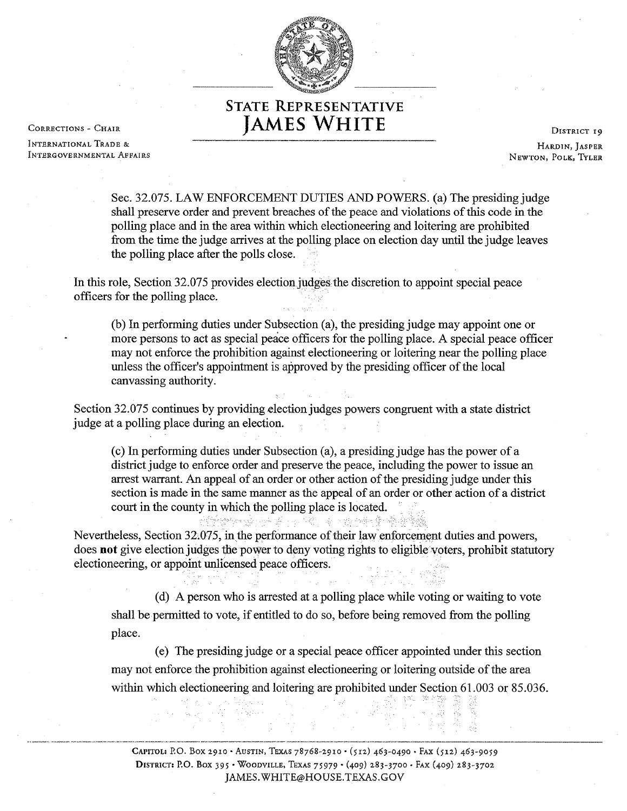

## **STATE REPRESENTATIVE JAMES WHITE** DISTRICT 19

INTERNATIONAL TRADE & INTERGOVERNMENTAL AFFAIRS

CORRECTIONS - CHAIR

HARDIN, JASPER NEWTON, POLK, TYLER

Sec. 32.075. LAW ENFORCEMENT DUTIES AND POWERS. (a) The presiding judge shall preserve order and prevent breaches of the peace and violations of this code in the polling place and in the area within which electioneering and loitering are prohibited from the time the judge arrives at the polling place on election day until the judge leaves the polling place after the polls close.

In this role, Section 32.075 provides election judges the discretion to appoint special peace officers for the polling place.

(b) In performing duties under Subsection (a), the presiding judge may appoint one or more persons to act as special peace officers for the polling place. A special peace officer may not enforce the prohibition against electioneering or loitering near the polling place unless the officer's appointment is approved by the presiding officer of the local canvassing authority.

Section 32.075 continues by providing election judges powers congruent with a state district judge at a polling place during an election.

(c) In performing duties under Subsection (a), a presiding judge has the power of a district judge to enforce order and preserve the peace, including the power to issue an arrest warrant. An appeal of an order or other action of the presiding judge under this section is made in the same manner as the appeal of an order or other action of a district court in the county in which the polling place is located.

ship and the state of the state of the state of the state of the state of the state of the state of the state of the state of the state of the state of the state of the state of the state of the state of the state of the s Nevertheless, Section 32,075, in the performance of their law enforcement duties and powers, does **not** give election judges the power to deny voting rights to eligible voters, prohibit statutory electioneering, or appoint unlicensed peace officers.

(d) A person who is arrested at a polling place while voting or waiting to vote shall be permitted to vote, if entitled to do so, before being removed from the polling place.

( e) The presiding judge or a special peace officer appointed under this section may not enforce the prohibition against electioneering or loitering outside of the area within which electioneering and loitering are prohibited under Section 61.003 or 85.036.

··----·· ····-··- ·······- ···--··-··-··--····-·····--··-·•-·-·•·-··---------